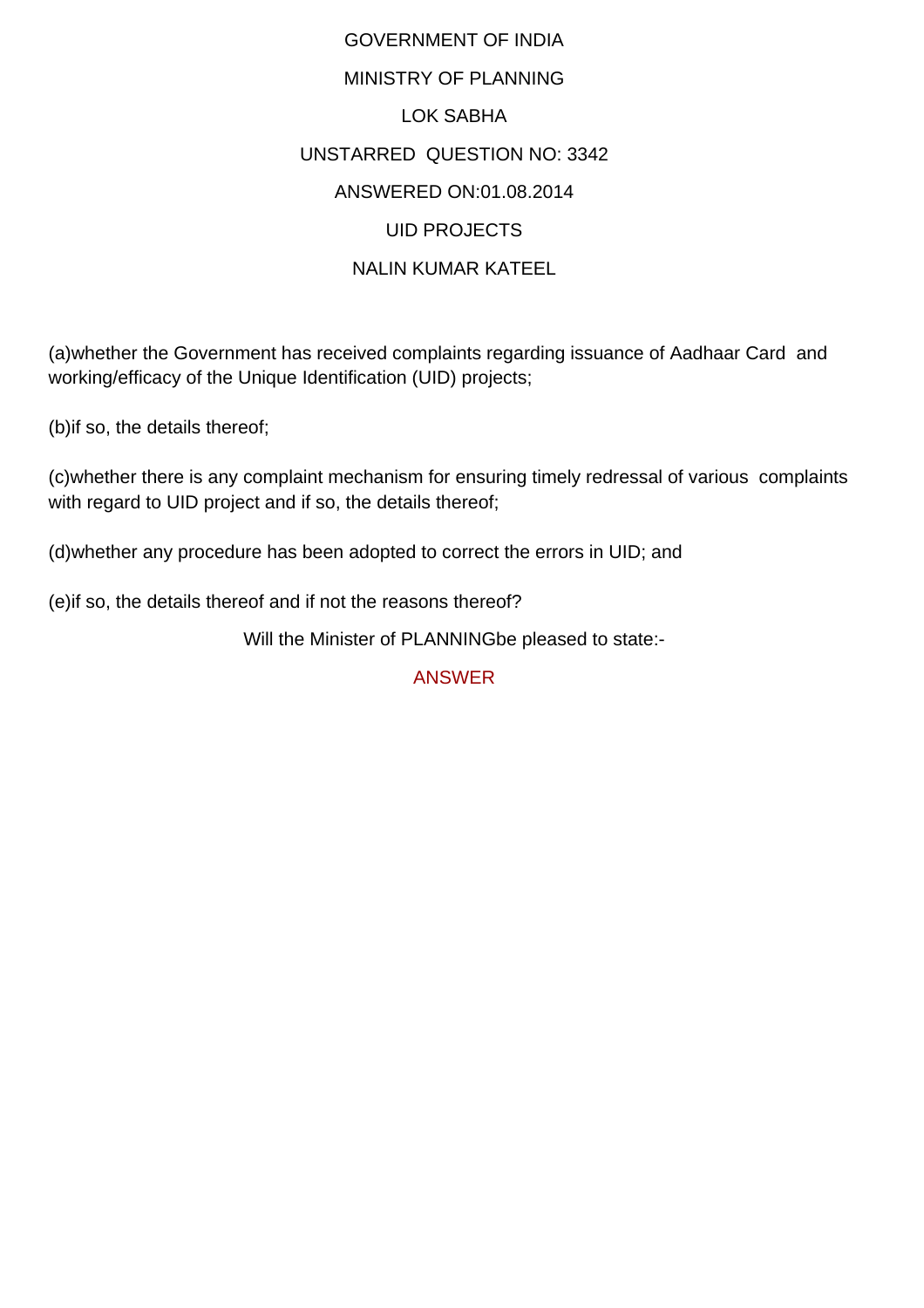## GOVERNMENT OF INDIA MINISTRY OF PLANNING LOK SABHA UNSTARRED QUESTION NO: 3342 ANSWERED ON:01.08.2014 UID PROJECTS NALIN KUMAR KATEEL

(a)whether the Government has received complaints regarding issuance of Aadhaar Card and working/efficacy of the Unique Identification (UID) projects;

(b)if so, the details thereof;

(c)whether there is any complaint mechanism for ensuring timely redressal of various complaints with regard to UID project and if so, the details thereof;

(d)whether any procedure has been adopted to correct the errors in UID; and

(e)if so, the details thereof and if not the reasons thereof?

Will the Minister of PLANNINGbe pleased to state:-

ANSWER